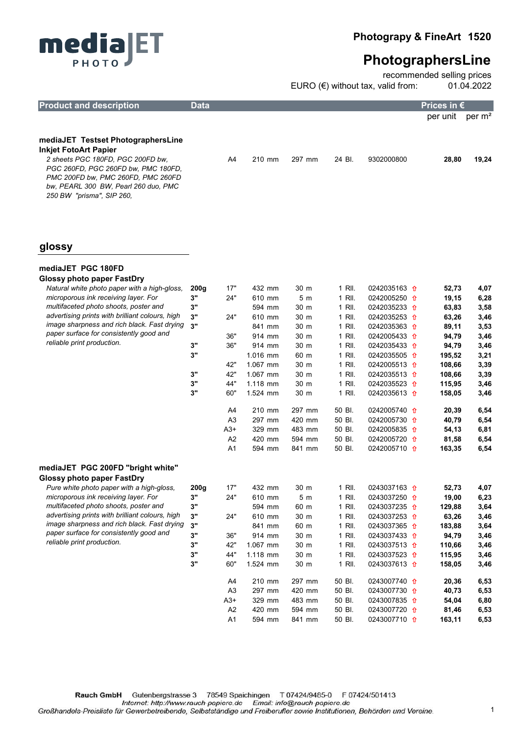



recommended selling prices EURO (€) without tax, valid from: 01.04.2022

A1 594 mm 841 mm 50 Bl. 0243007710 <del>0</del> 163,11 6,53

| <b>Product and description</b>                                                                                                                                                                                                                            | <b>Data</b> |                |                  |                |                  |                                                    | Prices in €     |                    |
|-----------------------------------------------------------------------------------------------------------------------------------------------------------------------------------------------------------------------------------------------------------|-------------|----------------|------------------|----------------|------------------|----------------------------------------------------|-----------------|--------------------|
|                                                                                                                                                                                                                                                           |             |                |                  |                |                  |                                                    | per unit        | per m <sup>2</sup> |
|                                                                                                                                                                                                                                                           |             |                |                  |                |                  |                                                    |                 |                    |
| mediaJET Testset PhotographersLine<br><b>Inkjet FotoArt Papier</b><br>2 sheets PGC 180FD, PGC 200FD bw,<br>PGC 260FD, PGC 260FD bw, PMC 180FD,<br>PMC 200FD bw, PMC 260FD, PMC 260FD<br>bw, PEARL 300 BW, Pearl 260 duo, PMC<br>250 BW "prisma", SIP 260, |             | A4             | 210 mm           | 297 mm         | 24 BI.           | 9302000800                                         | 28,80           | 19,24              |
| glossy<br>mediaJET PGC 180FD                                                                                                                                                                                                                              |             |                |                  |                |                  |                                                    |                 |                    |
| Glossy photo paper FastDry                                                                                                                                                                                                                                |             |                |                  |                |                  |                                                    |                 |                    |
| Natural white photo paper with a high-gloss.                                                                                                                                                                                                              | 200g        | 17"            | 432 mm           | 30 m           | 1 RII.           | 0242035163 <del>0</del>                            | 52,73           | 4,07               |
| microporous ink receiving layer. For                                                                                                                                                                                                                      | 3"          | 24"            | 610 mm           | 5 <sub>m</sub> | 1 RII.           | 0242005250 <del>0</del>                            | 19,15           | 6,28               |
| multifaceted photo shoots, poster and                                                                                                                                                                                                                     | 3"          |                | 594 mm           | 30 m           | 1 RII.           | 0242035233 1                                       | 63,83           | 3,58               |
| advertising prints with brilliant colours, high                                                                                                                                                                                                           | 3"          | 24"            | 610 mm           | 30 m           | 1 RII.           | 0242035253 1                                       | 63,26           | 3,46               |
| image sharpness and rich black. Fast drying                                                                                                                                                                                                               | 3"          |                | 841 mm           | 30 m           | 1 RII.           | 0242035363 <del>0</del>                            | 89,11           | 3,53               |
| paper surface for consistently good and                                                                                                                                                                                                                   |             | 36"            | 914 mm           | 30 m           | 1 RII.           | 0242005433 <del>f</del>                            | 94,79           | 3,46               |
| reliable print production.                                                                                                                                                                                                                                | 3"          | 36"            | 914 mm           | 30 m           | 1 RII.           | 0242035433 <del>f</del>                            | 94,79           | 3,46               |
|                                                                                                                                                                                                                                                           | 3"          |                | 1.016 mm         | 60 m           | 1 RII.           | 0242035505 <del>1</del>                            | 195,52          | 3,21               |
|                                                                                                                                                                                                                                                           |             | 42"            | 1.067 mm         | 30 m           | 1 RII.           | 0242005513 <del>0</del>                            | 108,66          | 3,39               |
|                                                                                                                                                                                                                                                           | 3"          | 42"            | 1.067 mm         | 30 m           | 1 RII.           | 0242035513 <del>0</del>                            | 108,66          | 3,39               |
|                                                                                                                                                                                                                                                           | 3"<br>3"    | 44"            | $1.118$ mm       | 30 m           | 1 RII.           | 0242035523 <del>1</del>                            | 115,95          | 3,46               |
|                                                                                                                                                                                                                                                           |             | 60"            | 1.524 mm         | 30 m           | 1 RII.           | 0242035613 <del>1</del>                            | 158,05          | 3,46               |
|                                                                                                                                                                                                                                                           |             | A4             | 210 mm           | 297 mm         | 50 BI.           | 0242005740 1                                       | 20,39           | 6,54               |
|                                                                                                                                                                                                                                                           |             | A <sub>3</sub> | 297 mm           | 420 mm         | 50 BI.           | 0242005730 1                                       | 40,79           | 6,54               |
|                                                                                                                                                                                                                                                           |             | $A3+$          | 329 mm           | 483 mm         | 50 BI.           | 0242005835 1                                       | 54,13           | 6,81               |
|                                                                                                                                                                                                                                                           |             | A2             | 420 mm           | 594 mm         | 50 BI.           | 0242005720 <del>0</del>                            | 81,58           | 6,54               |
|                                                                                                                                                                                                                                                           |             | A1             | 594 mm           | 841 mm         | 50 BI.           | 0242005710 <del>0</del>                            | 163,35          | 6,54               |
| mediaJET PGC 200FD "bright white"<br>Glossy photo paper FastDry                                                                                                                                                                                           |             |                |                  |                |                  |                                                    |                 |                    |
| Pure white photo paper with a high-gloss,                                                                                                                                                                                                                 | 200g        | 17"            | 432 mm           | 30 m           | 1 RII.           | 0243037163 <del>1</del>                            | 52,73           | 4,07               |
| microporous ink receiving layer. For<br>multifaceted photo shoots, poster and                                                                                                                                                                             | 3"          | 24"            | 610 mm           | 5 <sub>m</sub> | 1 RII.           | 0243037250 <del>0</del>                            | 19,00           | 6,23               |
| advertising prints with brilliant colours, high                                                                                                                                                                                                           | 3"<br>3"    | 24"            | 594 mm<br>610 mm | 60 m<br>30 m   | 1 RII.<br>1 RII. | 0243037235 <del>1</del>                            | 129,88          | 3,64               |
| image sharpness and rich black. Fast drying                                                                                                                                                                                                               | 3"          |                | 841 mm           | 60 m           | 1 RII.           | 0243037253 <del>1</del><br>0243037365 <del>1</del> | 63,26<br>183,88 | 3,46<br>3,64       |
| paper surface for consistently good and                                                                                                                                                                                                                   | 3"          | 36"            | 914 mm           | 30 m           | 1 RII.           | 0243037433 <del>1</del>                            | 94,79           | 3,46               |
| reliable print production.                                                                                                                                                                                                                                | 3"          | 42"            | 1.067 mm         | 30 m           | 1 RII.           | 0243037513 1                                       | 110,66          | 3,46               |
|                                                                                                                                                                                                                                                           | 3"          | 44"            | 1.118 mm         | 30 m           | 1 RII.           | 0243037523 <del>1</del>                            | 115,95          | 3,46               |
|                                                                                                                                                                                                                                                           | 3"          | 60"            | 1.524 mm         | 30 m           | 1 RII.           | 0243037613 <del>1</del>                            | 158,05          | 3,46               |
|                                                                                                                                                                                                                                                           |             | A4             | 210 mm           | 297 mm         | 50 BI.           | 0243007740 <del>0</del>                            | 20,36           | 6,53               |
|                                                                                                                                                                                                                                                           |             | A <sub>3</sub> | 297 mm           | 420 mm         | 50 BI.           | 0243007730 <del>0</del>                            | 40,73           | 6,53               |
|                                                                                                                                                                                                                                                           |             | $A3+$          | 329 mm           | 483 mm         | 50 BI.           | 0243007835 <del>1</del>                            | 54,04           | 6,80               |
|                                                                                                                                                                                                                                                           |             | A <sub>2</sub> | 420 mm           | 594 mm         | 50 BI.           | 0243007720 <del>0</del>                            | 81,46           | 6,53               |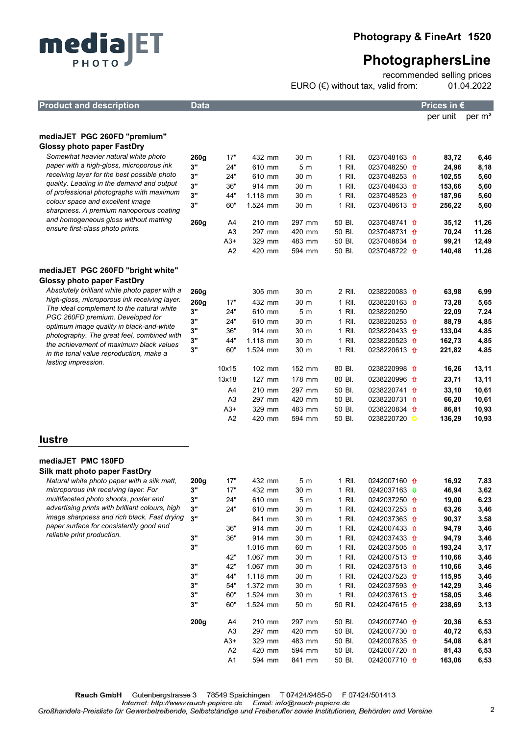

recommended selling prices EURO (€) without tax, valid from: 01.04.2022

| <b>Product and description</b>                                                           | Data             |                      |                  |                        |                  |                                                    | Prices in $\epsilon$ |                    |
|------------------------------------------------------------------------------------------|------------------|----------------------|------------------|------------------------|------------------|----------------------------------------------------|----------------------|--------------------|
|                                                                                          |                  |                      |                  |                        |                  |                                                    | per unit             | per m <sup>2</sup> |
|                                                                                          |                  |                      |                  |                        |                  |                                                    |                      |                    |
| mediaJET PGC 260FD "premium"                                                             |                  |                      |                  |                        |                  |                                                    |                      |                    |
| <b>Glossy photo paper FastDry</b><br>Somewhat heavier natural white photo                |                  |                      |                  |                        |                  |                                                    |                      |                    |
| paper with a high-gloss, microporous ink                                                 | 260g<br>3"       | 17"<br>24"           | 432 mm<br>610 mm | 30 m<br>5 <sub>m</sub> | 1 RII.<br>1 RII. | 0237048163 $\hat{\mathbf{n}}$<br>0237048250 1      | 83,72<br>24,96       | 6,46               |
| receiving layer for the best possible photo                                              | 3"               | 24"                  | 610 mm           | 30 m                   | 1 RII.           | 0237048253 1                                       | 102,55               | 8,18<br>5,60       |
| quality. Leading in the demand and output                                                | 3"               | 36"                  | 914 mm           | 30 m                   | 1 RII.           | 0237048433 1                                       | 153,66               | 5,60               |
| of professional photographs with maximum                                                 | 3"               | 44"                  | 1.118 mm         | 30 m                   | 1 RII.           | 0237048523 <del>1</del>                            | 187,96               | 5,60               |
| colour space and excellent image                                                         | 3"               | 60"                  | 1.524 mm         | 30 m                   | 1 RII.           | 0237048613 <del>1</del>                            | 256,22               | 5,60               |
| sharpness. A premium nanoporous coating                                                  |                  |                      |                  |                        |                  |                                                    |                      |                    |
| and homogeneous gloss without matting<br>ensure first-class photo prints.                | 260g             | A4                   | 210 mm           | 297 mm                 | 50 BI.           | 0237048741 <del>0</del>                            | 35,12                | 11,26              |
|                                                                                          |                  | A3                   | 297 mm           | 420 mm                 | 50 BI.           | 0237048731 <del>0</del>                            | 70,24                | 11,26              |
|                                                                                          |                  | $A3+$                | 329 mm           | 483 mm                 | 50 BI.           | 0237048834 <del>1</del>                            | 99,21                | 12,49              |
|                                                                                          |                  | A2                   | 420 mm           | 594 mm                 | 50 BI.           | 0237048722 1                                       | 140,48               | 11,26              |
| mediaJET PGC 260FD "bright white"                                                        |                  |                      |                  |                        |                  |                                                    |                      |                    |
| Glossy photo paper FastDry                                                               |                  |                      |                  |                        |                  |                                                    |                      |                    |
| Absolutely brilliant white photo paper with a                                            | 260g             |                      | 305 mm           | 30 m                   | 2 RII.           | 0238220083 <del>1</del>                            | 63,98                | 6,99               |
| high-gloss, microporous ink receiving layer.                                             | 260g             | 17"                  | 432 mm           | 30 m                   | 1 RII.           | 0238220163 1                                       | 73,28                | 5,65               |
| The ideal complement to the natural white                                                | 3"               | 24"                  | 610 mm           | 5 <sub>m</sub>         | 1 RII.           | 0238220250                                         | 22,09                | 7,24               |
| PGC 260FD premium. Developed for                                                         | 3"               | 24"                  | 610 mm           | 30 m                   | 1 RII.           | 0238220253 <del>1</del>                            | 88,79                | 4,85               |
| optimum image quality in black-and-white<br>photography. The great feel, combined with   | 3"               | 36"                  | 914 mm           | 30 m                   | 1 RII.           | 0238220433 <del>1</del>                            | 133,04               | 4,85               |
| the achievement of maximum black values                                                  | 3"               | 44"                  | $1.118$ mm       | 30 m                   | 1 RII.           | 0238220523 <del>1</del>                            | 162,73               | 4,85               |
| in the tonal value reproduction, make a                                                  | 3"               | 60"                  | 1.524 mm         | 30 m                   | 1 RII.           | 0238220613 <del>1</del>                            | 221,82               | 4,85               |
| lasting impression.                                                                      |                  | 10x15                | 102 mm           | 152 mm                 | 80 BI.           | 0238220998 <del>1</del>                            | 16,26                | 13,11              |
|                                                                                          |                  | 13x18                | 127 mm           | 178 mm                 | 80 BI.           | 0238220996 1                                       | 23,71                | 13,11              |
|                                                                                          |                  | A4                   | 210 mm           | 297 mm                 | 50 BI.           | 0238220741 <del>1</del>                            | 33,10                | 10,61              |
|                                                                                          |                  | A3                   | 297 mm           | 420 mm                 | 50 BI.           | 0238220731 <del>1</del>                            | 66,20                | 10,61              |
|                                                                                          |                  | $A3+$                | 329 mm           | 483 mm                 | 50 BI.           | 0238220834 <del>1</del>                            | 86,81                | 10,93              |
|                                                                                          |                  | A2                   | 420 mm           | 594 mm                 | 50 BI.           | 0238220720                                         | 136,29               | 10,93              |
| <b>lustre</b>                                                                            |                  |                      |                  |                        |                  |                                                    |                      |                    |
|                                                                                          |                  |                      |                  |                        |                  |                                                    |                      |                    |
| mediaJET PMC 180FD                                                                       |                  |                      |                  |                        |                  |                                                    |                      |                    |
| Silk matt photo paper FastDry                                                            |                  |                      |                  |                        |                  |                                                    |                      |                    |
| Natural white photo paper with a silk matt.                                              | 200 <sub>g</sub> | 17"                  | 432 mm           | 5 m                    | 1 RII.           | 0242007160 <del>0</del>                            | 16,92                | 7,83               |
| microporous ink receiving layer. For                                                     | 3"               | 17"                  | 432 mm           | 30 m                   | 1 RII.           | 0242037163 $\sqrt{\phantom{1}}$                    | 46,94                | 3,62               |
| multifaceted photo shoots, poster and<br>advertising prints with brilliant colours, high | 3"<br>3"         | 24"<br>24"           | 610 mm           | 5 <sub>m</sub>         | 1 RII.<br>1 RII. | 0242037250 <del>1</del>                            | 19,00                | 6,23<br>3,46       |
| image sharpness and rich black. Fast drying                                              | 3"               |                      | 610 mm<br>841 mm | 30 m<br>30 m           | 1 RII.           | 0242037253 <del>1</del><br>0242037363 <del>0</del> | 63,26<br>90,37       | 3,58               |
| paper surface for consistently good and                                                  |                  | 36"                  | 914 mm           | 30 m                   | 1 RII.           | 0242007433 <del>0</del>                            | 94,79                | 3,46               |
| reliable print production.                                                               | 3"               | 36"                  | 914 mm           | 30 m                   | 1 RII.           | 0242037433 <del>0</del>                            | 94,79                | 3,46               |
|                                                                                          | 3"               |                      | 1.016 mm         | 60 m                   | 1 RII.           | 0242037505 <del>1</del>                            | 193,24               | 3,17               |
|                                                                                          |                  | 42"                  | 1.067 mm         | 30 m                   | 1 RII.           | 0242007513 <del>1</del>                            | 110,66               | 3,46               |
|                                                                                          | 3"               | 42"                  | 1.067 mm         | 30 m                   | 1 RII.           | 0242037513 <del>1</del>                            | 110,66               | 3,46               |
|                                                                                          | 3"               | 44"                  | 1.118 mm         | 30 m                   | 1 RII.           | 0242037523 <del>1</del>                            | 115,95               | 3,46               |
|                                                                                          | 3"               | 54"                  | 1.372 mm         | 30 m                   | 1 RII.           | 0242037593 <del>1</del>                            | 142,29               | 3,46               |
|                                                                                          | 3"               | 60"                  | 1.524 mm         | 30 m                   | 1 RII.           | 0242037613 <del>0</del>                            | 158,05               | 3,46               |
|                                                                                          | 3"               | 60"                  | 1.524 mm         | 50 m                   | 50 RII.          | 0242047615 <del>1</del>                            | 238,69               | 3,13               |
|                                                                                          | 200g             | A4                   | 210 mm           | 297 mm                 | 50 BI.           | 0242007740 <del>0</del>                            | 20,36                | 6,53               |
|                                                                                          |                  | A <sub>3</sub>       | 297 mm           | 420 mm                 | 50 BI.           | 0242007730 <del>0</del>                            | 40,72                | 6,53               |
|                                                                                          |                  | $A3+$                | 329 mm           | 483 mm                 | 50 BI.           | 0242007835 <del>1</del>                            | 54,08                | 6,81               |
|                                                                                          |                  | A <sub>2</sub><br>A1 | 420 mm<br>594 mm | 594 mm<br>841 mm       | 50 BI.<br>50 BI. | 0242007720 <del>0</del><br>0242007710 <del>0</del> | 81,43<br>163,06      | 6,53<br>6,53       |
|                                                                                          |                  |                      |                  |                        |                  |                                                    |                      |                    |
|                                                                                          |                  |                      |                  |                        |                  |                                                    |                      |                    |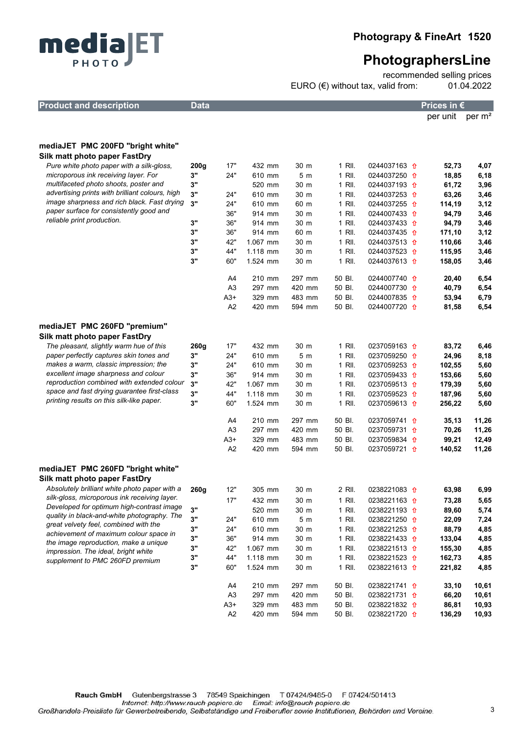

recommended selling prices EURO (€) without tax, valid from: 01.04.2022

A2 420 mm 594 mm 50 Bl. 0238221720 <del>0</del> 136,29 10,93

| <b>Product and description</b>                                     | <b>Data</b> |                |                    |                |        |                                                    | Prices in €      |                    |  |
|--------------------------------------------------------------------|-------------|----------------|--------------------|----------------|--------|----------------------------------------------------|------------------|--------------------|--|
|                                                                    |             |                |                    |                |        |                                                    | per unit         | per m <sup>2</sup> |  |
|                                                                    |             |                |                    |                |        |                                                    |                  |                    |  |
| mediaJET PMC 200FD "bright white"<br>Silk matt photo paper FastDry |             |                |                    |                |        |                                                    |                  |                    |  |
| Pure white photo paper with a silk-gloss,                          |             | 17"            | 432 mm             | 30 m           | 1 RII. | 0244037163 <del>0</del>                            | 52,73            |                    |  |
| microporous ink receiving layer. For                               | 200g<br>3"  | 24"            | 610 mm             | 5 m            | 1 RII. | 0244037250 1                                       |                  | 4,07               |  |
| multifaceted photo shoots, poster and                              | 3"          |                | 520 mm             | 30 m           | 1 RII. | 0244037193 <del>f</del>                            | 18,85            | 6,18               |  |
| advertising prints with brilliant colours, high                    | 3"          | 24"            | 610 mm             | 30 m           | 1 RII. | 0244037253 <del>0</del>                            | 61,72<br>63,26   | 3,96               |  |
| image sharpness and rich black. Fast drying                        | 3"          | 24"            | 610 mm             | 60 m           | 1 RII. | 0244037255 <del>1</del>                            | 114,19           | 3,46<br>3,12       |  |
| paper surface for consistently good and                            |             | 36"            | 914 mm             | 30 m           | 1 RII. | 0244007433 <del>1</del>                            | 94,79            | 3,46               |  |
| reliable print production.                                         | 3"          | 36"            | 914 mm             | 30 m           | 1 RII. | 0244037433 <del>0</del>                            | 94,79            | 3,46               |  |
|                                                                    | 3"          | 36"            | 914 mm             | 60 m           | 1 RII. | 0244037435 1                                       | 171,10           | 3,12               |  |
|                                                                    | 3"          | 42"            | 1.067 mm           | 30 m           | 1 RII. | 0244037513 <del>1</del>                            | 110,66           | 3,46               |  |
|                                                                    | 3"          | 44"            | 1.118 mm           | 30 m           | 1 RII. | 0244037523 <del>1</del>                            | 115,95           |                    |  |
|                                                                    | 3"          | 60"            | 1.524 mm           | 30 m           | 1 RII. | 0244037613 1                                       | 158,05           | 3,46               |  |
|                                                                    |             |                |                    |                |        |                                                    |                  | 3,46               |  |
|                                                                    |             | A4             | 210 mm             | 297 mm         | 50 BI. | 0244007740 <del>f</del>                            | 20,40            | 6,54               |  |
|                                                                    |             | A3             | 297 mm             | 420 mm         | 50 BI. | 0244007730 <del>1</del>                            | 40,79            | 6,54               |  |
|                                                                    |             | A3+            | 329 mm             | 483 mm         | 50 BI. | 0244007835 <del>1</del>                            | 53,94            | 6,79               |  |
|                                                                    |             | A2             | 420 mm             | 594 mm         | 50 BI. | 0244007720 1                                       | 81,58            | 6,54               |  |
|                                                                    |             |                |                    |                |        |                                                    |                  |                    |  |
| mediaJET PMC 260FD "premium"                                       |             |                |                    |                |        |                                                    |                  |                    |  |
| Silk matt photo paper FastDry                                      |             |                |                    |                |        |                                                    |                  |                    |  |
| The pleasant, slightly warm hue of this                            | 260g        | 17"            | 432 mm             | 30 m           | 1 RII. | 0237059163 1                                       | 83,72            | 6,46               |  |
| paper perfectly captures skin tones and                            | 3"          | 24"            | 610 mm             | 5 <sub>m</sub> | 1 RII. | 0237059250 1                                       | 24,96            | 8,18               |  |
| makes a warm, classic impression; the                              | 3"          | 24"            | 610 mm             | 30 m           | 1 RII. | 0237059253 1                                       | 102,55           | 5,60               |  |
| excellent image sharpness and colour                               | 3"          | 36"            | 914 mm             | 30 m           | 1 RII. | 0237059433 <del>1</del>                            | 153,66           | 5,60               |  |
| reproduction combined with extended colour                         | 3"          | 42"            | 1.067 mm           | 30 m           | 1 RII. | 0237059513 1                                       | 179,39           | 5,60               |  |
| space and fast drying guarantee first-class                        | 3"          | 44"            | 1.118 mm           | 30 m           | 1 RII. | 0237059523 1                                       | 187,96           | 5,60               |  |
| printing results on this silk-like paper.                          | 3"          | 60"            | 1.524 mm           | 30 m           | 1 RII. | 0237059613 1                                       | 256,22           | 5,60               |  |
|                                                                    |             |                |                    |                |        |                                                    |                  |                    |  |
|                                                                    |             | A4             | 210 mm             | 297 mm         | 50 BI. | 0237059741 1                                       | 35,13            | 11,26              |  |
|                                                                    |             | A3             | 297 mm             | 420 mm         | 50 BI. | 0237059731 <del>1</del>                            | 70,26            | 11,26              |  |
|                                                                    |             | $A3+$          | 329 mm             | 483 mm         | 50 BI. | 0237059834 <del>1</del>                            | 99,21            | 12,49              |  |
|                                                                    |             | A <sub>2</sub> | 420 mm             | 594 mm         | 50 BI. | 0237059721 <del>f</del>                            | 140,52           | 11,26              |  |
|                                                                    |             |                |                    |                |        |                                                    |                  |                    |  |
| mediaJET PMC 260FD "bright white"                                  |             |                |                    |                |        |                                                    |                  |                    |  |
| Silk matt photo paper FastDry                                      |             |                |                    |                |        |                                                    |                  |                    |  |
| Absolutely brilliant white photo paper with a                      | <b>260g</b> | 12"            | 305 mm             | 30 m           | 2 RII. | 0238221083 1                                       | 63,98            | 6,99               |  |
| silk-gloss, microporous ink receiving layer.                       |             | 17"            | 432 mm             | 30 m           | 1 RII. | 0238221163 1                                       | 73,28            | 5,65               |  |
| Developed for optimum high-contrast image                          | 3"          |                | 520 mm             | 30 m           | 1 RII. | 0238221193 1                                       | 89,60            | 5,74               |  |
| quality in black-and-white photography. The                        | 3"          | 24"            | 610 mm             | 5 <sub>m</sub> | 1 RII. | 0238221250 <del>1</del>                            | 22,09            | 7,24               |  |
| great velvety feel, combined with the                              | 3"          | 24"            | 610 mm             | 30 m           | 1 RII. | 0238221253 <del>1</del>                            | 88,79            | 4,85               |  |
| achievement of maximum colour space in                             | 3"          | 36"            |                    |                | 1 RII. |                                                    |                  |                    |  |
| the image reproduction, make a unique                              | 3"          | 42"            | 914 mm<br>1.067 mm | 30 m<br>30 m   | 1 RII. | 0238221433 <del>1</del><br>0238221513 <del>1</del> | 133,04<br>155,30 | 4,85<br>4,85       |  |
| impression. The ideal, bright white                                | 3"          | 44"            | 1.118 mm           | 30 m           | 1 RII. | 0238221523 <del>1</del>                            | 162,73           | 4,85               |  |
| supplement to PMC 260FD premium                                    | 3"          | 60"            | 1.524 mm           |                | 1 RII. |                                                    |                  | 4,85               |  |
|                                                                    |             |                |                    | 30 m           |        | 0238221613 <del>1</del>                            | 221,82           |                    |  |
|                                                                    |             | A4             | 210 mm             | 297 mm         | 50 BI. | 0238221741 <del>1</del>                            | 33,10            | 10,61              |  |
|                                                                    |             | A <sub>3</sub> | 297 mm             | 420 mm         | 50 BI. | 0238221731 <del>1</del>                            | 66,20            | 10,61              |  |
|                                                                    |             | $A3+$          | 329 mm             | 483 mm         | 50 BI. | 0238221832 <del>1</del>                            | 86,81            | 10,93              |  |
|                                                                    |             |                |                    |                |        |                                                    |                  |                    |  |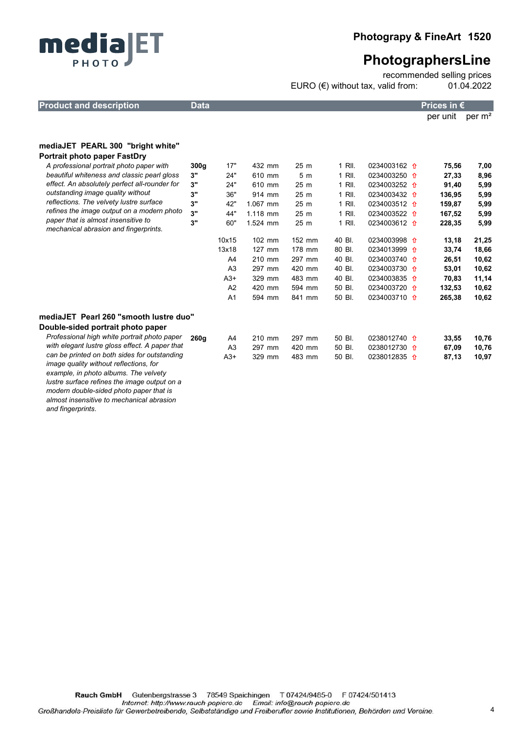

recommended selling prices EURO (€) without tax, valid from: 01.04.2022

| <b>Product and description</b>                                               | <b>Data</b>      |                |          |                 |        |                         | Prices in $\epsilon$ |                    |
|------------------------------------------------------------------------------|------------------|----------------|----------|-----------------|--------|-------------------------|----------------------|--------------------|
|                                                                              |                  |                |          |                 |        |                         | per unit             | per m <sup>2</sup> |
|                                                                              |                  |                |          |                 |        |                         |                      |                    |
| mediaJET PEARL 300 "bright white"                                            |                  |                |          |                 |        |                         |                      |                    |
| <b>Portrait photo paper FastDry</b>                                          |                  |                |          |                 |        |                         |                      |                    |
| A professional portrait photo paper with                                     | 300 <sub>g</sub> | 17"            | 432 mm   | 25 <sub>m</sub> | 1 RII. | 0234003162 <del>1</del> | 75,56                | 7,00               |
| beautiful whiteness and classic pearl gloss                                  | 3"               | 24"            | 610 mm   | 5 <sub>m</sub>  | 1 RII. | 0234003250 1            | 27,33                | 8,96               |
| effect. An absolutely perfect all-rounder for                                | 3"               | 24"            | 610 mm   | 25 m            | 1 RII. | 0234003252 1            | 91,40                | 5,99               |
| outstanding image quality without                                            | 3"               | 36"            | 914 mm   | 25 <sub>m</sub> | 1 RII. | 0234003432 <del>1</del> | 136,95               | 5,99               |
| reflections. The velvety lustre surface                                      | 3"               | 42"            | 1.067 mm | 25 m            | 1 RII. | 0234003512 <del>0</del> | 159,87               | 5,99               |
| refines the image output on a modern photo                                   | 3"               | 44"            | 1.118 mm | 25 m            | 1 RII. | 0234003522 <del>1</del> | 167,52               | 5,99               |
| paper that is almost insensitive to<br>mechanical abrasion and fingerprints. | 3"               | 60"            | 1.524 mm | 25 m            | 1 RII. | 0234003612 1            | 228,35               | 5,99               |
|                                                                              |                  | 10x15          | 102 mm   | 152 mm          | 40 BI. | 0234003998 1            | 13,18                | 21,25              |
|                                                                              |                  | 13x18          | 127 mm   | 178 mm          | 80 BI. | 0234013999 1            | 33,74                | 18,66              |
|                                                                              |                  | A4             | 210 mm   | 297 mm          | 40 BI. | 0234003740 <del>0</del> | 26,51                | 10,62              |
|                                                                              |                  | A <sub>3</sub> | 297 mm   | 420 mm          | 40 BI. | 0234003730 <del>1</del> | 53,01                | 10,62              |
|                                                                              |                  | $A3+$          | 329 mm   | 483 mm          | 40 BI. | 0234003835 <del>1</del> | 70,83                | 11,14              |
|                                                                              |                  | A2             | 420 mm   | 594 mm          | 50 BI. | 0234003720 <del>0</del> | 132,53               | 10,62              |
|                                                                              |                  | A1             | 594 mm   | 841 mm          | 50 BI. | 0234003710 1            | 265,38               | 10,62              |
| mediaJET Pearl 260 "smooth lustre duo"                                       |                  |                |          |                 |        |                         |                      |                    |
| Double-sided portrait photo paper                                            |                  |                |          |                 |        |                         |                      |                    |
| Professional high white portrait photo paper                                 | 260q             | A4             | 210 mm   | 297 mm          | 50 BI. | 0238012740 <del>0</del> | 33,55                | 10,76              |
| with elegant lustre gloss effect. A paper that                               |                  | A <sub>3</sub> | 297 mm   | 420 mm          | 50 BI. | 0238012730 1            | 67,09                | 10,76              |
| can be printed on both sides for outstanding                                 |                  | $A3+$          | 329 mm   | 483 mm          | 50 BI. | 0238012835 1            | 87,13                | 10,97              |
| image quality without reflections, for                                       |                  |                |          |                 |        |                         |                      |                    |
| example, in photo albums. The velvety                                        |                  |                |          |                 |        |                         |                      |                    |
| lustre surface refines the image output on a                                 |                  |                |          |                 |        |                         |                      |                    |
| modern double-sided photo paper that is                                      |                  |                |          |                 |        |                         |                      |                    |
| almost insensitive to mechanical abrasion                                    |                  |                |          |                 |        |                         |                      |                    |
| and fingerprints.                                                            |                  |                |          |                 |        |                         |                      |                    |